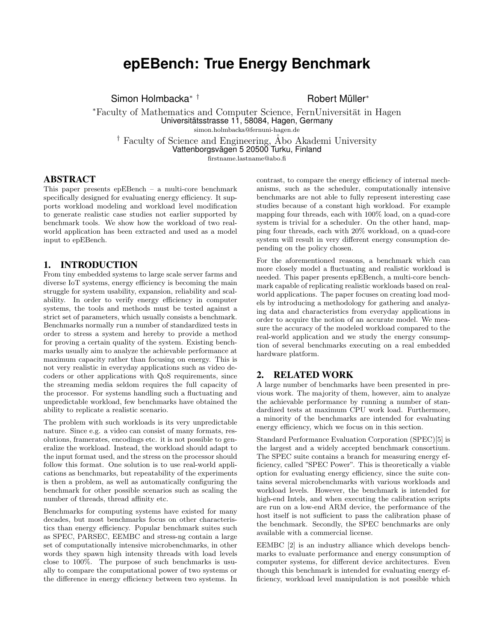# **epEBench: True Energy Benchmark**

Simon Holmbacka<sup>∗†</sup> Finance Robert Müller<sup>∗</sup>

\*Faculty of Mathematics and Computer Science, FernUniversität in Hagen Universitätsstrasse 11, 58084, Hagen, Germany simon.holmbacka@fernuni-hagen.de

<sup>†</sup> Faculty of Science and Engineering, Abo Akademi University Vattenborgsvägen 5 20500 Turku, Finland firstname.lastname@abo.fi

# ABSTRACT

This paper presents epEBench – a multi-core benchmark specifically designed for evaluating energy efficiency. It supports workload modeling and workload level modification to generate realistic case studies not earlier supported by benchmark tools. We show how the workload of two realworld application has been extracted and used as a model input to epEBench.

#### 1. INTRODUCTION

From tiny embedded systems to large scale server farms and diverse IoT systems, energy efficiency is becoming the main struggle for system usability, expansion, reliability and scalability. In order to verify energy efficiency in computer systems, the tools and methods must be tested against a strict set of parameters, which usually consists a benchmark. Benchmarks normally run a number of standardized tests in order to stress a system and hereby to provide a method for proving a certain quality of the system. Existing benchmarks usually aim to analyze the achievable performance at maximum capacity rather than focusing on energy. This is not very realistic in everyday applications such as video decoders or other applications with QoS requirements, since the streaming media seldom requires the full capacity of the processor. For systems handling such a fluctuating and unpredictable workload, few benchmarks have obtained the ability to replicate a realistic scenario.

The problem with such workloads is its very unpredictable nature. Since e.g. a video can consist of many formats, resolutions, framerates, encodings etc. it is not possible to generalize the workload. Instead, the workload should adapt to the input format used, and the stress on the processor should follow this format. One solution is to use real-world applications as benchmarks, but repeatability of the experiments is then a problem, as well as automatically configuring the benchmark for other possible scenarios such as scaling the number of threads, thread affinity etc.

Benchmarks for computing systems have existed for many decades, but most benchmarks focus on other characteristics than energy efficiency. Popular benchmark suites such as SPEC, PARSEC, EEMBC and stress-ng contain a large set of computationally intensive microbenchmarks, in other words they spawn high intensity threads with load levels close to 100%. The purpose of such benchmarks is usually to compare the computational power of two systems or the difference in energy efficiency between two systems. In contrast, to compare the energy efficiency of internal mechanisms, such as the scheduler, computationally intensive benchmarks are not able to fully represent interesting case studies because of a constant high workload. For example mapping four threads, each with 100% load, on a quad-core system is trivial for a scheduler. On the other hand, mapping four threads, each with 20% workload, on a quad-core system will result in very different energy consumption depending on the policy chosen.

For the aforementioned reasons, a benchmark which can more closely model a fluctuating and realistic workload is needed. This paper presents epEBench, a multi-core benchmark capable of replicating realistic workloads based on realworld applications. The paper focuses on creating load models by introducing a methodology for gathering and analyzing data and characteristics from everyday applications in order to acquire the notion of an accurate model. We measure the accuracy of the modeled workload compared to the real-world application and we study the energy consumption of several benchmarks executing on a real embedded hardware platform.

## 2. RELATED WORK

A large number of benchmarks have been presented in previous work. The majority of them, however, aim to analyze the achievable performance by running a number of standardized tests at maximum CPU work load. Furthermore, a minority of the benchmarks are intended for evaluating energy efficiency, which we focus on in this section.

Standard Performance Evaluation Corporation (SPEC)[5] is the largest and a widely accepted benchmark consortium. The SPEC suite contains a branch for measuring energy efficiency, called "SPEC Power". This is theoretically a viable option for evaluating energy efficiency, since the suite contains several microbenchmarks with various workloads and workload levels. However, the benchmark is intended for high-end Intels, and when executing the calibration scripts are run on a low-end ARM device, the performance of the host itself is not sufficient to pass the calibration phase of the benchmark. Secondly, the SPEC benchmarks are only available with a commercial license.

EEMBC [2] is an industry alliance which develops benchmarks to evaluate performance and energy consumption of computer systems, for different device architectures. Even though this benchmark is intended for evaluating energy efficiency, workload level manipulation is not possible which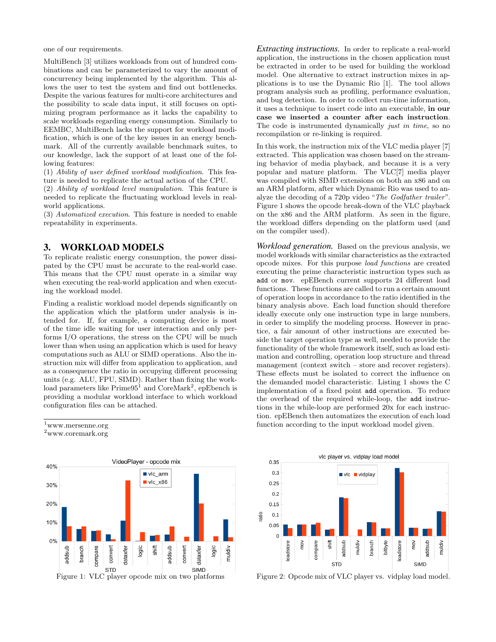one of our requirements.

MultiBench [3] utilizes workloads from out of hundred combinations and can be parameterized to vary the amount of concurrency being implemented by the algorithm. This allows the user to test the system and find out bottlenecks. Despite the various features for multi-core architectures and the possibility to scale data input, it still focuses on optimizing program performance as it lacks the capability to scale workloads regarding energy consumption. Similarly to EEMBC, MultiBench lacks the support for workload modification, which is one of the key issues in an energy benchmark. All of the currently available benchmark suites, to our knowledge, lack the support of at least one of the following features:

(1) Ability of user defined workload modification. This feature is needed to replicate the actual action of the CPU.

(2) Ability of workload level manipulation. This feature is needed to replicate the fluctuating workload levels in realworld applications.

(3) Automatized execution. This feature is needed to enable repeatability in experiments.

### 3. WORKLOAD MODELS

To replicate realistic energy consumption, the power dissipated by the CPU must be accurate to the real-world case. This means that the CPU must operate in a similar way when executing the real-world application and when executing the workload model.

Finding a realistic workload model depends significantly on the application which the platform under analysis is intended for. If, for example, a computing device is most of the time idle waiting for user interaction and only performs I/O operations, the stress on the CPU will be much lower than when using an application which is used for heavy computations such as ALU or SIMD operations. Also the instruction mix will differ from application to application, and as a consequence the ratio in occupying different processing units (e.g. ALU, FPU, SIMD). Rather than fixing the workload parameters like  $Prime95^1$  and  $CoreMark^2$ , epEbench is providing a modular workload interface to which workload configuration files can be attached.

 $^{\rm 1}$ www.mersenne.org

 $^2$ www.coremark.org



*Extracting instructions.* In order to replicate a real-world application, the instructions in the chosen application must be extracted in order to be used for building the workload model. One alternative to extract instruction mixes in applications is to use the Dynamic Rio [1]. The tool allows program analysis such as profiling, performance evaluation, and bug detection. In order to collect run-time information, it uses a technique to insert code into an executable, in our case we inserted a counter after each instruction. The code is instrumented dynamically *just in time*, so no recompilation or re-linking is required.

In this work, the instruction mix of the VLC media player [7] extracted. This application was chosen based on the streaming behavior of media playback, and because it is a very popular and mature platform. The VLC[7] media player was compiled with SIMD extensions on both an x86 and on an ARM platform, after which Dynamic Rio was used to analyze the decoding of a 720p video "The Godfather trailer". Figure 1 shows the opcode break-down of the VLC playback on the x86 and the ARM platform. As seen in the figure, the workload differs depending on the platform used (and on the compiler used).

*Workload generation.* Based on the previous analysis, we model workloads with similar characteristics as the extracted opcode mixes. For this purpose load functions are created executing the prime characteristic instruction types such as add or mov. epEBench current supports 24 different load functions. These functions are called to run a certain amount of operation loops in accordance to the ratio identified in the binary analysis above. Each load function should therefore ideally execute only one instruction type in large numbers, in order to simplify the modeling process. However in practice, a fair amount of other instructions are executed beside the target operation type as well, needed to provide the functionality of the whole framework itself, such as load estimation and controlling, operation loop structure and thread management (context switch – store and recover registers). These effects must be isolated to correct the influence on the demanded model characteristic. Listing 1 shows the C implementation of a fixed point add operation. To reduce the overhead of the required while-loop, the add instructions in the while-loop are performed 20x for each instruction. epEBench then automatizes the execution of each load function according to the input workload model given.



Figure 2: Opcode mix of VLC player vs. vidplay load model.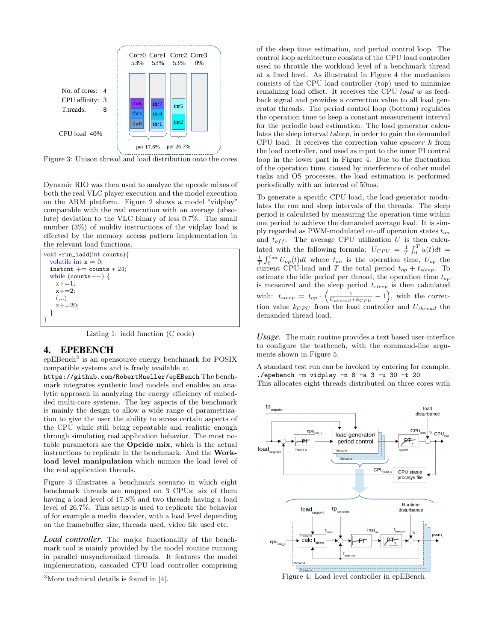

Figure 3: Unison thread and load distribution onto the cores

Dynamic RIO was then used to analyze the opcode mixes of both the real VLC player execution and the model execution on the ARM platform. Figure 2 shows a model "vidplay" comparable with the real execution with an average (absolute) deviation to the VLC binary of less 0.7%. The small number (3%) of muldiv instructions of the vidplay load is effected by the memory access pattern implementation in the relevant load functions.

```
void ∗run_iadd(int counts){
 volatile int x = 0;
 instcnt += counts * 24;
 while (counts−−) {
    x + = 1;
    x + = 2;(...)
   x+=20:
  }
}
```
Listing 1: iadd function (C code)

## 4. EPEBENCH

epEBench<sup>3</sup> is an opensource energy benchmark for POSIX compatible systems and is freely available at

https://github.com/RobertMueller/epEBench The benchmark integrates synthetic load models and enables an analytic approach in analyzing the energy efficiency of embedded multi-core systems. The key aspects of the benchmark is mainly the design to allow a wide range of parametrization to give the user the ability to stress certain aspects of the CPU while still being repeatable and realistic enough through simulating real application behavior. The most notable parameters are the Opcide mix, which is the actual instructions to replicate in the benchmark. And the Workload level manipulation which mimics the load level of the real application threads.

Figure 3 illustrates a benchmark scenario in which eight benchmark threads are mapped on 3 CPUs; six of them having a load level of 17.8% and two threads having a load level of 26.7%. This setup is used to replicate the behavior of for example a media decoder, with a load level depending on the framebuffer size, threads used, video file used etc.

*Load controller.* The major functionality of the benchmark tool is mainly provided by the model routine running in parallel unsynchronized threads. It features the model implementation, cascaded CPU load controller comprising

of the sleep time estimation, and period control loop. The control loop architecture consists of the CPU load controller used to throttle the workload level of a benchmark thread at a fixed level. As illustrated in Figure 4 the mechanism consists of the CPU load controller (top) used to minimize remaining load offset. It receives the CPU *load\_w* as feedback signal and provides a correction value to all load generator threads. The period control loop (bottom) regulates the operation time to keep a constant measurement interval for the periodic load estimation. The load generator calculates the sleep interval tsleep, in order to gain the demanded CPU load. It receives the correction value  $c$ *pucorr*  $\&$  from the load controller, and used as input to the inner PI control loop in the lower part in Figure 4. Due to the fluctuation of the operation time, caused by interference of other model tasks and OS processes, the load estimation is performed periodically with an interval of 50ms.

To generate a specific CPU load, the load-generator modulates the run and sleep intervals of the threads. The sleep period is calculated by measuring the operation time within one period to achieve the demanded average load. It is simply regarded as PWM-modulated on-off operation states  $t_{on}$ and  $t_{off}$ . The average CPU utilization U is then calculated with the following formula:  $U_{CPU} = \frac{1}{T} \int_0^T u(t) dt =$  $\frac{1}{T}\int_0^{t_{on}} U_{op}(t)dt$  where  $t_{on}$  is the operation time,  $U_{op}$  the current CPU-load and T the total period  $t_{op} + t_{sleep}$ . To estimate the idle period per thread, the operation time  $t_{op}$ is measured and the sleep period  $t_{sleep}$  is then calculated with:  $t_{sleep} = t_{op} \cdot \left(\frac{1}{U_{thread}+k_{CPU}}-1\right)$ , with the correction value  $k_{CPU}$  from the load controller and  $U_{thread}$  the demanded thread load.

*Usage.* The main routine provides a text based user-interface to configure the testbench, with the command-line arguments shown in Figure 5.

A standard test run can be invoked by entering for example. ./epebench -m vidplay -n 8 -a 3 -u 30 -t 20 This allocates eight threads distributed on three cores with



Figure 4: Load level controller in epEBench

<sup>3</sup>More technical details is found in [4].